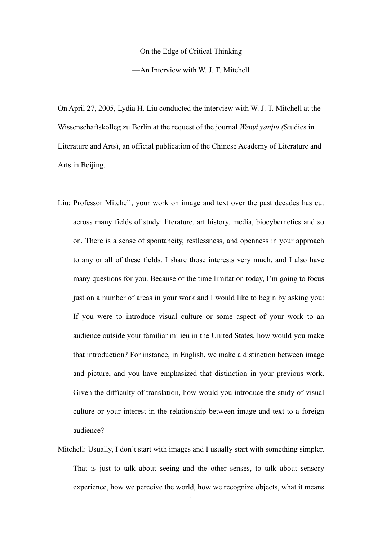On the Edge of Critical Thinking

—An Interview with W. J. T. Mitchell

On April 27, 2005, Lydia H. Liu conducted the interview with W. J. T. Mitchell at the Wissenschaftskolleg zu Berlin at the request of the journal *Wenyi yanjiu (*Studies in Literature and Arts), an official publication of the Chinese Academy of Literature and Arts in Beijing.

- Liu: Professor Mitchell, your work on image and text over the past decades has cut across many fields of study: literature, art history, media, biocybernetics and so on. There is a sense of spontaneity, restlessness, and openness in your approach to any or all of these fields. I share those interests very much, and I also have many questions for you. Because of the time limitation today, I'm going to focus just on a number of areas in your work and I would like to begin by asking you: If you were to introduce visual culture or some aspect of your work to an audience outside your familiar milieu in the United States, how would you make that introduction? For instance, in English, we make a distinction between image and picture, and you have emphasized that distinction in your previous work. Given the difficulty of translation, how would you introduce the study of visual culture or your interest in the relationship between image and text to a foreign audience?
- Mitchell: Usually, I don't start with images and I usually start with something simpler. That is just to talk about seeing and the other senses, to talk about sensory experience, how we perceive the world, how we recognize objects, what it means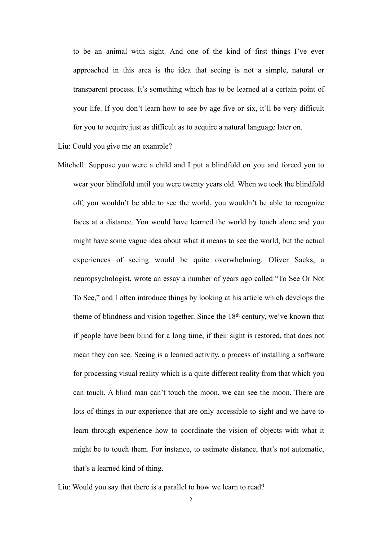to be an animal with sight. And one of the kind of first things I've ever approached in this area is the idea that seeing is not a simple, natural or transparent process. It's something which has to be learned at a certain point of your life. If you don't learn how to see by age five or six, it'll be very difficult for you to acquire just as difficult as to acquire a natural language later on.

Liu: Could you give me an example?

- Mitchell: Suppose you were a child and I put a blindfold on you and forced you to wear your blindfold until you were twenty years old. When we took the blindfold off, you wouldn't be able to see the world, you wouldn't be able to recognize faces at a distance. You would have learned the world by touch alone and you might have some vague idea about what it means to see the world, but the actual experiences of seeing would be quite overwhelming. Oliver Sacks, a neuropsychologist, wrote an essay a number of years ago called "To See Or Not To See," and I often introduce things by looking at his article which develops the theme of blindness and vision together. Since the 18th century, we've known that if people have been blind for a long time, if their sight is restored, that does not mean they can see. Seeing is a learned activity, a process of installing a software for processing visual reality which is a quite different reality from that which you can touch. A blind man can't touch the moon, we can see the moon. There are lots of things in our experience that are only accessible to sight and we have to learn through experience how to coordinate the vision of objects with what it might be to touch them. For instance, to estimate distance, that's not automatic, that's a learned kind of thing.
- Liu: Would you say that there is a parallel to how we learn to read?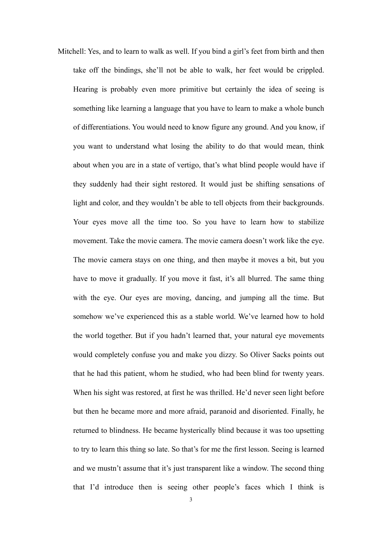Mitchell: Yes, and to learn to walk as well. If you bind a girl's feet from birth and then take off the bindings, she'll not be able to walk, her feet would be crippled. Hearing is probably even more primitive but certainly the idea of seeing is something like learning a language that you have to learn to make a whole bunch of differentiations. You would need to know figure any ground. And you know, if you want to understand what losing the ability to do that would mean, think about when you are in a state of vertigo, that's what blind people would have if they suddenly had their sight restored. It would just be shifting sensations of light and color, and they wouldn't be able to tell objects from their backgrounds. Your eyes move all the time too. So you have to learn how to stabilize movement. Take the movie camera. The movie camera doesn't work like the eye. The movie camera stays on one thing, and then maybe it moves a bit, but you have to move it gradually. If you move it fast, it's all blurred. The same thing with the eye. Our eyes are moving, dancing, and jumping all the time. But somehow we've experienced this as a stable world. We've learned how to hold the world together. But if you hadn't learned that, your natural eye movements would completely confuse you and make you dizzy. So Oliver Sacks points out that he had this patient, whom he studied, who had been blind for twenty years. When his sight was restored, at first he was thrilled. He'd never seen light before but then he became more and more afraid, paranoid and disoriented. Finally, he returned to blindness. He became hysterically blind because it was too upsetting to try to learn this thing so late. So that's for me the first lesson. Seeing is learned and we mustn't assume that it's just transparent like a window. The second thing that I'd introduce then is seeing other people's faces which I think is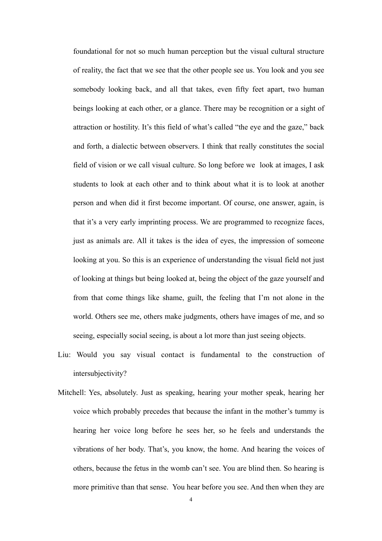foundational for not so much human perception but the visual cultural structure of reality, the fact that we see that the other people see us. You look and you see somebody looking back, and all that takes, even fifty feet apart, two human beings looking at each other, or a glance. There may be recognition or a sight of attraction or hostility. It's this field of what's called "the eye and the gaze," back and forth, a dialectic between observers. I think that really constitutes the social field of vision or we call visual culture. So long before we look at images, I ask students to look at each other and to think about what it is to look at another person and when did it first become important. Of course, one answer, again, is that it's a very early imprinting process. We are programmed to recognize faces, just as animals are. All it takes is the idea of eyes, the impression of someone looking at you. So this is an experience of understanding the visual field not just of looking at things but being looked at, being the object of the gaze yourself and from that come things like shame, guilt, the feeling that I'm not alone in the world. Others see me, others make judgments, others have images of me, and so seeing, especially social seeing, is about a lot more than just seeing objects.

- Liu: Would you say visual contact is fundamental to the construction of intersubjectivity?
- Mitchell: Yes, absolutely. Just as speaking, hearing your mother speak, hearing her voice which probably precedes that because the infant in the mother's tummy is hearing her voice long before he sees her, so he feels and understands the vibrations of her body. That's, you know, the home. And hearing the voices of others, because the fetus in the womb can't see. You are blind then. So hearing is more primitive than that sense. You hear before you see. And then when they are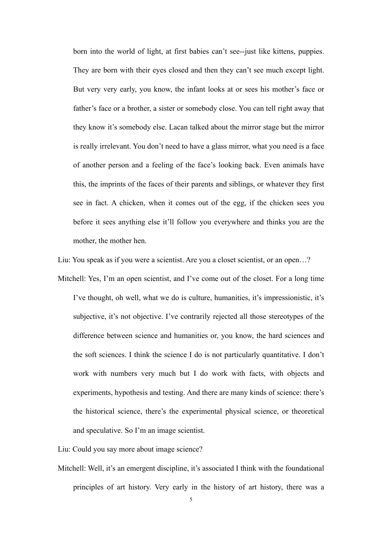born into the world of light, at first babies can't see--just like kittens, puppies. They are born with their eyes closed and then they can't see much except light. But very very early, you know, the infant looks at or sees his mother's face or father's face or a brother, a sister or somebody close. You can tell right away that they know it's somebody else. Lacan talked about the mirror stage but the mirror is really irrelevant. You don't need to have a glass mirror, what you need is a face of another person and a feeling of the face's looking back. Even animals have this, the imprints of the faces of their parents and siblings, or whatever they first see in fact. A chicken, when it comes out of the egg, if the chicken sees you before it sees anything else it'll follow you everywhere and thinks you are the mother, the mother hen.

Liu: You speak as if you were a scientist. Are you a closet scientist, or an open…?

Mitchell: Yes, I'm an open scientist, and I've come out of the closet. For a long time I've thought, oh well, what we do is culture, humanities, it's impressionistic, it's subjective, it's not objective. I've contrarily rejected all those stereotypes of the difference between science and humanities or, you know, the hard sciences and the soft sciences. I think the science I do is not particularly quantitative. I don't work with numbers very much but I do work with facts, with objects and experiments, hypothesis and testing. And there are many kinds of science: there's the historical science, there's the experimental physical science, or theoretical and speculative. So I'm an image scientist.

Liu: Could you say more about image science?

Mitchell: Well, it's an emergent discipline, it's associated I think with the foundational principles of art history. Very early in the history of art history, there was a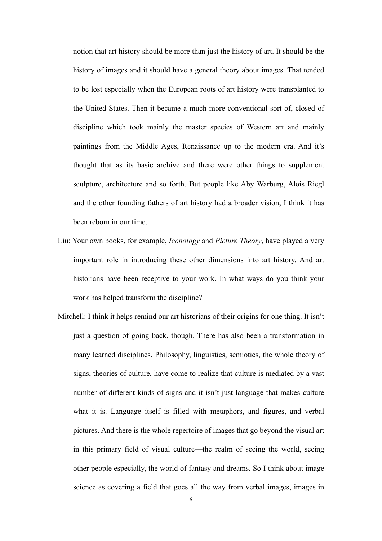notion that art history should be more than just the history of art. It should be the history of images and it should have a general theory about images. That tended to be lost especially when the European roots of art history were transplanted to the United States. Then it became a much more conventional sort of, closed of discipline which took mainly the master species of Western art and mainly paintings from the Middle Ages, Renaissance up to the modern era. And it's thought that as its basic archive and there were other things to supplement sculpture, architecture and so forth. But people like Aby Warburg, Alois Riegl and the other founding fathers of art history had a broader vision, I think it has been reborn in our time.

- Liu: Your own books, for example, *Iconology* and *Picture Theory*, have played a very important role in introducing these other dimensions into art history. And art historians have been receptive to your work. In what ways do you think your work has helped transform the discipline?
- Mitchell: I think it helps remind our art historians of their origins for one thing. It isn't just a question of going back, though. There has also been a transformation in many learned disciplines. Philosophy, linguistics, semiotics, the whole theory of signs, theories of culture, have come to realize that culture is mediated by a vast number of different kinds of signs and it isn't just language that makes culture what it is. Language itself is filled with metaphors, and figures, and verbal pictures. And there is the whole repertoire of images that go beyond the visual art in this primary field of visual culture—the realm of seeing the world, seeing other people especially, the world of fantasy and dreams. So I think about image science as covering a field that goes all the way from verbal images, images in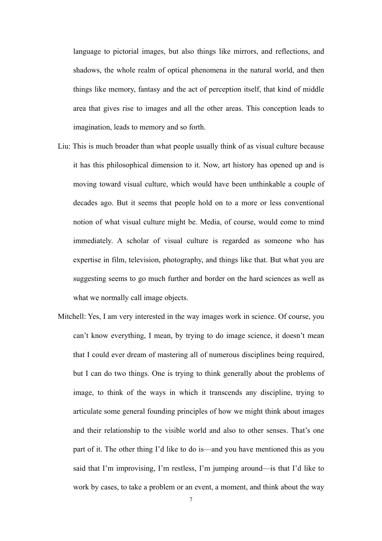language to pictorial images, but also things like mirrors, and reflections, and shadows, the whole realm of optical phenomena in the natural world, and then things like memory, fantasy and the act of perception itself, that kind of middle area that gives rise to images and all the other areas. This conception leads to imagination, leads to memory and so forth.

- Liu: This is much broader than what people usually think of as visual culture because it has this philosophical dimension to it. Now, art history has opened up and is moving toward visual culture, which would have been unthinkable a couple of decades ago. But it seems that people hold on to a more or less conventional notion of what visual culture might be. Media, of course, would come to mind immediately. A scholar of visual culture is regarded as someone who has expertise in film, television, photography, and things like that. But what you are suggesting seems to go much further and border on the hard sciences as well as what we normally call image objects.
- Mitchell: Yes, I am very interested in the way images work in science. Of course, you can't know everything, I mean, by trying to do image science, it doesn't mean that I could ever dream of mastering all of numerous disciplines being required, but I can do two things. One is trying to think generally about the problems of image, to think of the ways in which it transcends any discipline, trying to articulate some general founding principles of how we might think about images and their relationship to the visible world and also to other senses. That's one part of it. The other thing I'd like to do is—and you have mentioned this as you said that I'm improvising, I'm restless, I'm jumping around—is that I'd like to work by cases, to take a problem or an event, a moment, and think about the way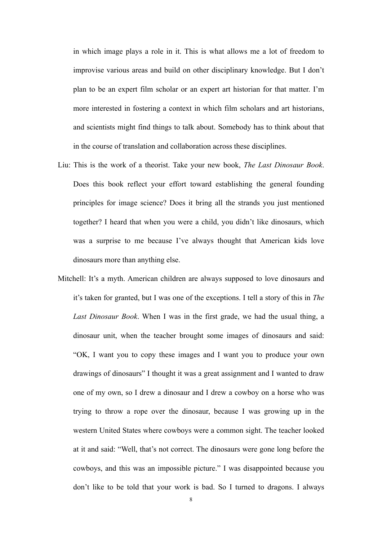in which image plays a role in it. This is what allows me a lot of freedom to improvise various areas and build on other disciplinary knowledge. But I don't plan to be an expert film scholar or an expert art historian for that matter. I'm more interested in fostering a context in which film scholars and art historians, and scientists might find things to talk about. Somebody has to think about that in the course of translation and collaboration across these disciplines.

- Liu: This is the work of a theorist. Take your new book, *The Last Dinosaur Book*. Does this book reflect your effort toward establishing the general founding principles for image science? Does it bring all the strands you just mentioned together? I heard that when you were a child, you didn't like dinosaurs, which was a surprise to me because I've always thought that American kids love dinosaurs more than anything else.
- Mitchell: It's a myth. American children are always supposed to love dinosaurs and it's taken for granted, but I was one of the exceptions. I tell a story of this in *The Last Dinosaur Book*. When I was in the first grade, we had the usual thing, a dinosaur unit, when the teacher brought some images of dinosaurs and said: "OK, I want you to copy these images and I want you to produce your own drawings of dinosaurs" I thought it was a great assignment and I wanted to draw one of my own, so I drew a dinosaur and I drew a cowboy on a horse who was trying to throw a rope over the dinosaur, because I was growing up in the western United States where cowboys were a common sight. The teacher looked at it and said: "Well, that's not correct. The dinosaurs were gone long before the cowboys, and this was an impossible picture." I was disappointed because you don't like to be told that your work is bad. So I turned to dragons. I always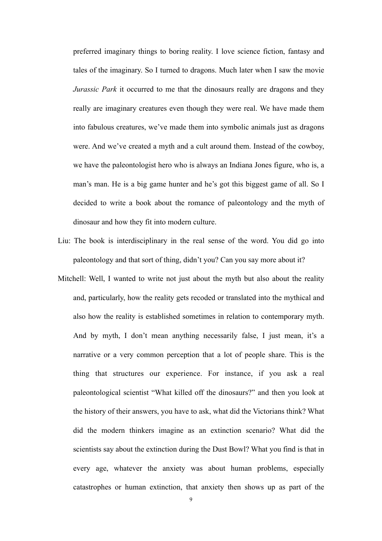preferred imaginary things to boring reality. I love science fiction, fantasy and tales of the imaginary. So I turned to dragons. Much later when I saw the movie *Jurassic Park* it occurred to me that the dinosaurs really are dragons and they really are imaginary creatures even though they were real. We have made them into fabulous creatures, we've made them into symbolic animals just as dragons were. And we've created a myth and a cult around them. Instead of the cowboy, we have the paleontologist hero who is always an Indiana Jones figure, who is, a man's man. He is a big game hunter and he's got this biggest game of all. So I decided to write a book about the romance of paleontology and the myth of dinosaur and how they fit into modern culture.

- Liu: The book is interdisciplinary in the real sense of the word. You did go into paleontology and that sort of thing, didn't you? Can you say more about it?
- Mitchell: Well, I wanted to write not just about the myth but also about the reality and, particularly, how the reality gets recoded or translated into the mythical and also how the reality is established sometimes in relation to contemporary myth. And by myth, I don't mean anything necessarily false, I just mean, it's a narrative or a very common perception that a lot of people share. This is the thing that structures our experience. For instance, if you ask a real paleontological scientist "What killed off the dinosaurs?" and then you look at the history of their answers, you have to ask, what did the Victorians think? What did the modern thinkers imagine as an extinction scenario? What did the scientists say about the extinction during the Dust Bowl? What you find is that in every age, whatever the anxiety was about human problems, especially catastrophes or human extinction, that anxiety then shows up as part of the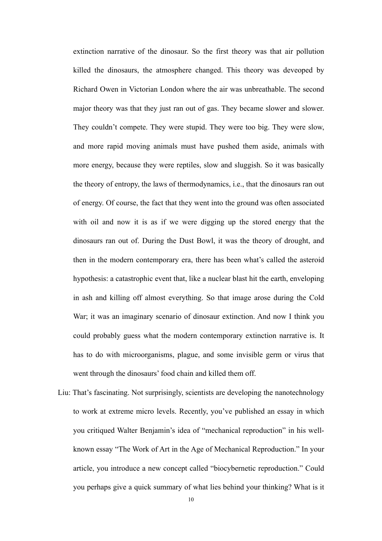extinction narrative of the dinosaur. So the first theory was that air pollution killed the dinosaurs, the atmosphere changed. This theory was deveoped by Richard Owen in Victorian London where the air was unbreathable. The second major theory was that they just ran out of gas. They became slower and slower. They couldn't compete. They were stupid. They were too big. They were slow, and more rapid moving animals must have pushed them aside, animals with more energy, because they were reptiles, slow and sluggish. So it was basically the theory of entropy, the laws of thermodynamics, i.e., that the dinosaurs ran out of energy. Of course, the fact that they went into the ground was often associated with oil and now it is as if we were digging up the stored energy that the dinosaurs ran out of. During the Dust Bowl, it was the theory of drought, and then in the modern contemporary era, there has been what's called the asteroid hypothesis: a catastrophic event that, like a nuclear blast hit the earth, enveloping in ash and killing off almost everything. So that image arose during the Cold War; it was an imaginary scenario of dinosaur extinction. And now I think you could probably guess what the modern contemporary extinction narrative is. It has to do with microorganisms, plague, and some invisible germ or virus that went through the dinosaurs' food chain and killed them off.

Liu: That's fascinating. Not surprisingly, scientists are developing the nanotechnology to work at extreme micro levels. Recently, you've published an essay in which you critiqued Walter Benjamin's idea of "mechanical reproduction" in his wellknown essay "The Work of Art in the Age of Mechanical Reproduction." In your article, you introduce a new concept called "biocybernetic reproduction." Could you perhaps give a quick summary of what lies behind your thinking? What is it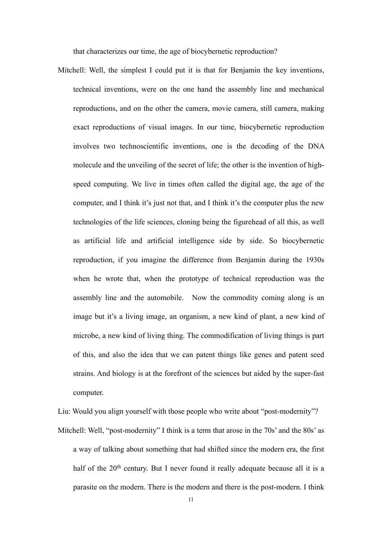that characterizes our time, the age of biocybernetic reproduction?

Mitchell: Well, the simplest I could put it is that for Benjamin the key inventions, technical inventions, were on the one hand the assembly line and mechanical reproductions, and on the other the camera, movie camera, still camera, making exact reproductions of visual images. In our time, biocybernetic reproduction involves two technoscientific inventions, one is the decoding of the DNA molecule and the unveiling of the secret of life; the other is the invention of highspeed computing. We live in times often called the digital age, the age of the computer, and I think it's just not that, and I think it's the computer plus the new technologies of the life sciences, cloning being the figurehead of all this, as well as artificial life and artificial intelligence side by side. So biocybernetic reproduction, if you imagine the difference from Benjamin during the 1930s when he wrote that, when the prototype of technical reproduction was the assembly line and the automobile. Now the commodity coming along is an image but it's a living image, an organism, a new kind of plant, a new kind of microbe, a new kind of living thing. The commodification of living things is part of this, and also the idea that we can patent things like genes and patent seed strains. And biology is at the forefront of the sciences but aided by the super-fast computer.

Liu: Would you align yourself with those people who write about "post-modernity"?

Mitchell: Well, "post-modernity" I think is a term that arose in the 70s' and the 80s' as a way of talking about something that had shifted since the modern era, the first half of the 20<sup>th</sup> century. But I never found it really adequate because all it is a parasite on the modern. There is the modern and there is the post-modern. I think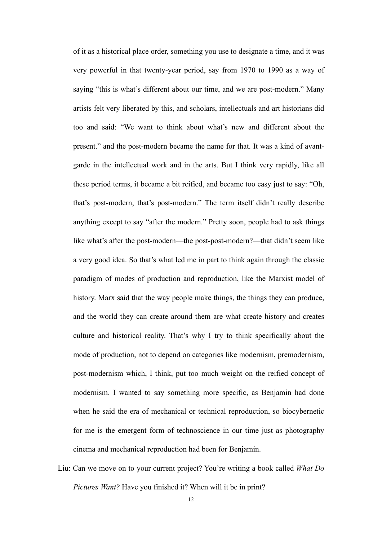of it as a historical place order, something you use to designate a time, and it was very powerful in that twenty-year period, say from 1970 to 1990 as a way of saying "this is what's different about our time, and we are post-modern." Many artists felt very liberated by this, and scholars, intellectuals and art historians did too and said: "We want to think about what's new and different about the present." and the post-modern became the name for that. It was a kind of avantgarde in the intellectual work and in the arts. But I think very rapidly, like all these period terms, it became a bit reified, and became too easy just to say: "Oh, that's post-modern, that's post-modern." The term itself didn't really describe anything except to say "after the modern." Pretty soon, people had to ask things like what's after the post-modern—the post-post-modern?—that didn't seem like a very good idea. So that's what led me in part to think again through the classic paradigm of modes of production and reproduction, like the Marxist model of history. Marx said that the way people make things, the things they can produce, and the world they can create around them are what create history and creates culture and historical reality. That's why I try to think specifically about the mode of production, not to depend on categories like modernism, premodernism, post-modernism which, I think, put too much weight on the reified concept of modernism. I wanted to say something more specific, as Benjamin had done when he said the era of mechanical or technical reproduction, so biocybernetic for me is the emergent form of technoscience in our time just as photography cinema and mechanical reproduction had been for Benjamin.

Liu: Can we move on to your current project? You're writing a book called *What Do Pictures Want?* Have you finished it? When will it be in print?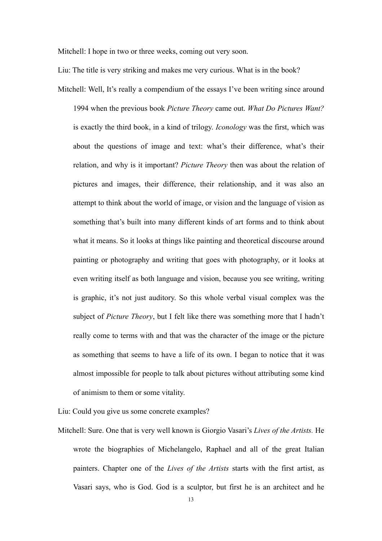Mitchell: I hope in two or three weeks, coming out very soon.

Liu: The title is very striking and makes me very curious. What is in the book?

Mitchell: Well, It's really a compendium of the essays I've been writing since around 1994 when the previous book *Picture Theory* came out. *What Do Pictures Want?* is exactly the third book, in a kind of trilogy. *Iconology* was the first, which was about the questions of image and text: what's their difference, what's their relation, and why is it important? *Picture Theory* then was about the relation of pictures and images, their difference, their relationship, and it was also an attempt to think about the world of image, or vision and the language of vision as something that's built into many different kinds of art forms and to think about what it means. So it looks at things like painting and theoretical discourse around painting or photography and writing that goes with photography, or it looks at even writing itself as both language and vision, because you see writing, writing is graphic, it's not just auditory. So this whole verbal visual complex was the subject of *Picture Theory*, but I felt like there was something more that I hadn't really come to terms with and that was the character of the image or the picture as something that seems to have a life of its own. I began to notice that it was almost impossible for people to talk about pictures without attributing some kind of animism to them or some vitality.

Liu: Could you give us some concrete examples?

Mitchell: Sure. One that is very well known is Giorgio Vasari's *Lives of the Artists.* He wrote the biographies of Michelangelo, Raphael and all of the great Italian painters. Chapter one of the *Lives of the Artists* starts with the first artist, as Vasari says, who is God. God is a sculptor, but first he is an architect and he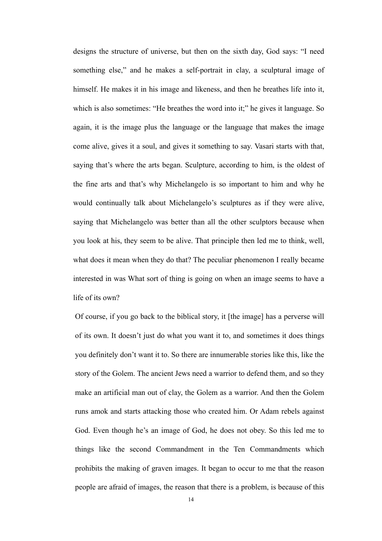designs the structure of universe, but then on the sixth day, God says: "I need something else," and he makes a self-portrait in clay, a sculptural image of himself. He makes it in his image and likeness, and then he breathes life into it, which is also sometimes: "He breathes the word into it;" he gives it language. So again, it is the image plus the language or the language that makes the image come alive, gives it a soul, and gives it something to say. Vasari starts with that, saying that's where the arts began. Sculpture, according to him, is the oldest of the fine arts and that's why Michelangelo is so important to him and why he would continually talk about Michelangelo's sculptures as if they were alive, saying that Michelangelo was better than all the other sculptors because when you look at his, they seem to be alive. That principle then led me to think, well, what does it mean when they do that? The peculiar phenomenon I really became interested in was What sort of thing is going on when an image seems to have a life of its own?

Of course, if you go back to the biblical story, it [the image] has a perverse will of its own. It doesn't just do what you want it to, and sometimes it does things you definitely don't want it to. So there are innumerable stories like this, like the story of the Golem. The ancient Jews need a warrior to defend them, and so they make an artificial man out of clay, the Golem as a warrior. And then the Golem runs amok and starts attacking those who created him. Or Adam rebels against God. Even though he's an image of God, he does not obey. So this led me to things like the second Commandment in the Ten Commandments which prohibits the making of graven images. It began to occur to me that the reason people are afraid of images, the reason that there is a problem, is because of this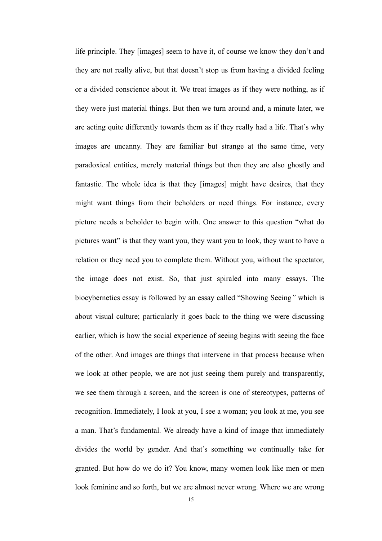life principle. They [images] seem to have it, of course we know they don't and they are not really alive, but that doesn't stop us from having a divided feeling or a divided conscience about it. We treat images as if they were nothing, as if they were just material things. But then we turn around and, a minute later, we are acting quite differently towards them as if they really had a life. That's why images are uncanny. They are familiar but strange at the same time, very paradoxical entities, merely material things but then they are also ghostly and fantastic. The whole idea is that they [images] might have desires, that they might want things from their beholders or need things. For instance, every picture needs a beholder to begin with. One answer to this question "what do pictures want" is that they want you, they want you to look, they want to have a relation or they need you to complete them. Without you, without the spectator, the image does not exist. So, that just spiraled into many essays. The biocybernetics essay is followed by an essay called "Showing Seeing*"* which is about visual culture; particularly it goes back to the thing we were discussing earlier, which is how the social experience of seeing begins with seeing the face of the other. And images are things that intervene in that process because when we look at other people, we are not just seeing them purely and transparently, we see them through a screen, and the screen is one of stereotypes, patterns of recognition. Immediately, I look at you, I see a woman; you look at me, you see a man. That's fundamental. We already have a kind of image that immediately divides the world by gender. And that's something we continually take for granted. But how do we do it? You know, many women look like men or men look feminine and so forth, but we are almost never wrong. Where we are wrong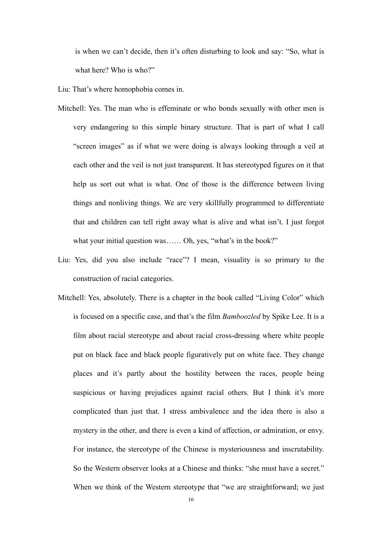is when we can't decide, then it's often disturbing to look and say: "So, what is what here? Who is who?"

Liu: That's where homophobia comes in.

- Mitchell: Yes. The man who is effeminate or who bonds sexually with other men is very endangering to this simple binary structure. That is part of what I call "screen images" as if what we were doing is always looking through a veil at each other and the veil is not just transparent. It has stereotyped figures on it that help us sort out what is what. One of those is the difference between living things and nonliving things. We are very skillfully programmed to differentiate that and children can tell right away what is alive and what isn't. I just forgot what your initial question was...... Oh, yes, "what's in the book?"
- Liu: Yes, did you also include "race"? I mean, visuality is so primary to the construction of racial categories.
- Mitchell: Yes, absolutely. There is a chapter in the book called "Living Color" which is focused on a specific case, and that's the film *Bamboozled* by Spike Lee. It is a film about racial stereotype and about racial cross-dressing where white people put on black face and black people figuratively put on white face. They change places and it's partly about the hostility between the races, people being suspicious or having prejudices against racial others. But I think it's more complicated than just that. I stress ambivalence and the idea there is also a mystery in the other, and there is even a kind of affection, or admiration, or envy. For instance, the stereotype of the Chinese is mysteriousness and inscrutability. So the Western observer looks at a Chinese and thinks: "she must have a secret." When we think of the Western stereotype that "we are straightforward; we just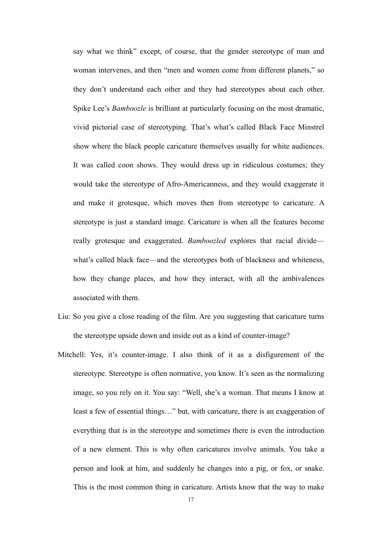say what we think" except, of course, that the gender stereotype of man and woman intervenes, and then "men and women come from different planets," so they don't understand each other and they had stereotypes about each other. Spike Lee's *Bamboozle* is brilliant at particularly focusing on the most dramatic, vivid pictorial case of stereotyping. That's what's called Black Face Minstrel show where the black people caricature themselves usually for white audiences. It was called coon shows. They would dress up in ridiculous costumes; they would take the stereotype of Afro-Americanness, and they would exaggerate it and make it grotesque, which moves then from stereotype to caricature. A stereotype is just a standard image. Caricature is when all the features become really grotesque and exaggerated. *Bamboozled* explores that racial divide what's called black face—and the stereotypes both of blackness and whiteness, how they change places, and how they interact, with all the ambivalences associated with them.

- Liu: So you give a close reading of the film. Are you suggesting that caricature turns the stereotype upside down and inside out as a kind of counter-image?
- Mitchell: Yes, it's counter-image. I also think of it as a disfigurement of the stereotype. Stereotype is often normative, you know. It's seen as the normalizing image, so you rely on it. You say: "Well, she's a woman. That means I know at least a few of essential things…" but, with caricature, there is an exaggeration of everything that is in the stereotype and sometimes there is even the introduction of a new element. This is why often caricatures involve animals. You take a person and look at him, and suddenly he changes into a pig, or fox, or snake. This is the most common thing in caricature. Artists know that the way to make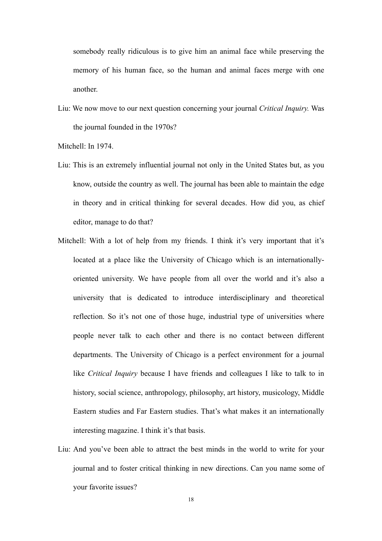somebody really ridiculous is to give him an animal face while preserving the memory of his human face, so the human and animal faces merge with one another.

Liu: We now move to our next question concerning your journal *Critical Inquiry.* Was the journal founded in the 1970s?

Mitchell: In 1974

- Liu: This is an extremely influential journal not only in the United States but, as you know, outside the country as well. The journal has been able to maintain the edge in theory and in critical thinking for several decades. How did you, as chief editor, manage to do that?
- Mitchell: With a lot of help from my friends. I think it's very important that it's located at a place like the University of Chicago which is an internationallyoriented university. We have people from all over the world and it's also a university that is dedicated to introduce interdisciplinary and theoretical reflection. So it's not one of those huge, industrial type of universities where people never talk to each other and there is no contact between different departments. The University of Chicago is a perfect environment for a journal like *Critical Inquiry* because I have friends and colleagues I like to talk to in history, social science, anthropology, philosophy, art history, musicology, Middle Eastern studies and Far Eastern studies. That's what makes it an internationally interesting magazine. I think it's that basis.
- Liu: And you've been able to attract the best minds in the world to write for your journal and to foster critical thinking in new directions. Can you name some of your favorite issues?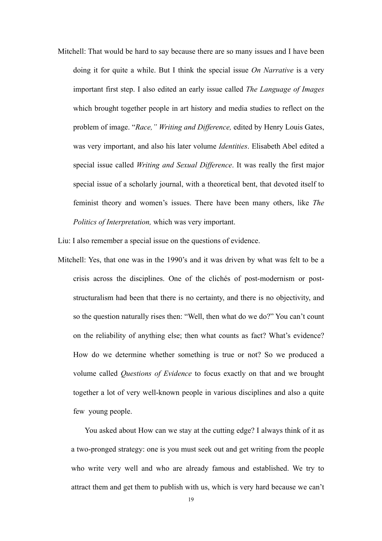Mitchell: That would be hard to say because there are so many issues and I have been doing it for quite a while. But I think the special issue *On Narrative* is a very important first step. I also edited an early issue called *The Language of Images* which brought together people in art history and media studies to reflect on the problem of image. "*Race," Writing and Difference,* edited by Henry Louis Gates, was very important, and also his later volume *Identities*. Elisabeth Abel edited a special issue called *Writing and Sexual Difference*. It was really the first major special issue of a scholarly journal, with a theoretical bent, that devoted itself to feminist theory and women's issues. There have been many others, like *The Politics of Interpretation,* which was very important.

Liu: I also remember a special issue on the questions of evidence.

Mitchell: Yes, that one was in the 1990's and it was driven by what was felt to be a crisis across the disciplines. One of the clichés of post-modernism or poststructuralism had been that there is no certainty, and there is no objectivity, and so the question naturally rises then: "Well, then what do we do?" You can't count on the reliability of anything else; then what counts as fact? What's evidence? How do we determine whether something is true or not? So we produced a volume called *Questions of Evidence* to focus exactly on that and we brought together a lot of very well-known people in various disciplines and also a quite few young people.

You asked about How can we stay at the cutting edge? I always think of it as a two-pronged strategy: one is you must seek out and get writing from the people who write very well and who are already famous and established. We try to attract them and get them to publish with us, which is very hard because we can't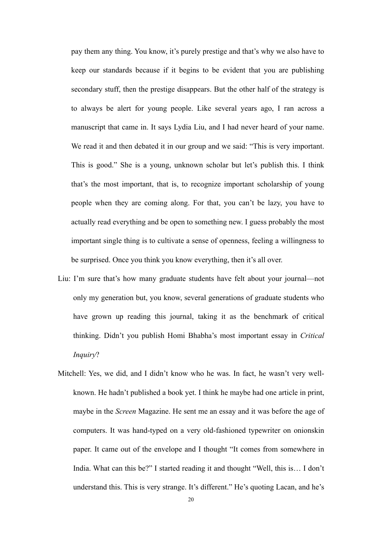pay them any thing. You know, it's purely prestige and that's why we also have to keep our standards because if it begins to be evident that you are publishing secondary stuff, then the prestige disappears. But the other half of the strategy is to always be alert for young people. Like several years ago, I ran across a manuscript that came in. It says Lydia Liu, and I had never heard of your name. We read it and then debated it in our group and we said: "This is very important. This is good." She is a young, unknown scholar but let's publish this. I think that's the most important, that is, to recognize important scholarship of young people when they are coming along. For that, you can't be lazy, you have to actually read everything and be open to something new. I guess probably the most important single thing is to cultivate a sense of openness, feeling a willingness to be surprised. Once you think you know everything, then it's all over.

- Liu: I'm sure that's how many graduate students have felt about your journal—not only my generation but, you know, several generations of graduate students who have grown up reading this journal, taking it as the benchmark of critical thinking. Didn't you publish Homi Bhabha's most important essay in *Critical Inquiry*?
- Mitchell: Yes, we did, and I didn't know who he was. In fact, he wasn't very wellknown. He hadn't published a book yet. I think he maybe had one article in print, maybe in the *Screen* Magazine. He sent me an essay and it was before the age of computers. It was hand-typed on a very old-fashioned typewriter on onionskin paper. It came out of the envelope and I thought "It comes from somewhere in India. What can this be?" I started reading it and thought "Well, this is… I don't understand this. This is very strange. It's different." He's quoting Lacan, and he's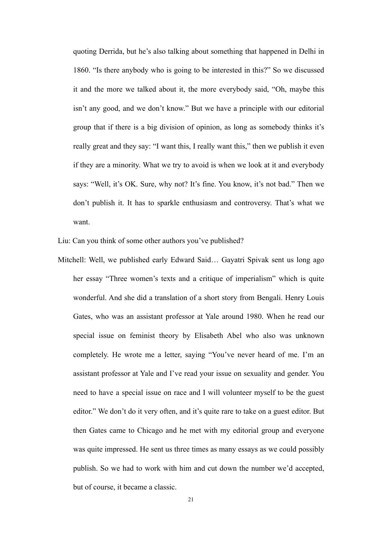quoting Derrida, but he's also talking about something that happened in Delhi in 1860. "Is there anybody who is going to be interested in this?" So we discussed it and the more we talked about it, the more everybody said, "Oh, maybe this isn't any good, and we don't know." But we have a principle with our editorial group that if there is a big division of opinion, as long as somebody thinks it's really great and they say: "I want this, I really want this," then we publish it even if they are a minority. What we try to avoid is when we look at it and everybody says: "Well, it's OK. Sure, why not? It's fine. You know, it's not bad." Then we don't publish it. It has to sparkle enthusiasm and controversy. That's what we want.

Liu: Can you think of some other authors you've published?

Mitchell: Well, we published early Edward Said… Gayatri Spivak sent us long ago her essay "Three women's texts and a critique of imperialism" which is quite wonderful. And she did a translation of a short story from Bengali. Henry Louis Gates, who was an assistant professor at Yale around 1980. When he read our special issue on feminist theory by Elisabeth Abel who also was unknown completely. He wrote me a letter, saying "You've never heard of me. I'm an assistant professor at Yale and I've read your issue on sexuality and gender. You need to have a special issue on race and I will volunteer myself to be the guest editor." We don't do it very often, and it's quite rare to take on a guest editor. But then Gates came to Chicago and he met with my editorial group and everyone was quite impressed. He sent us three times as many essays as we could possibly publish. So we had to work with him and cut down the number we'd accepted, but of course, it became a classic.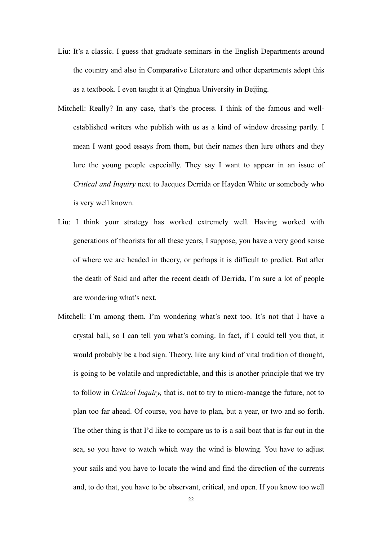- Liu: It's a classic. I guess that graduate seminars in the English Departments around the country and also in Comparative Literature and other departments adopt this as a textbook. I even taught it at Qinghua University in Beijing.
- Mitchell: Really? In any case, that's the process. I think of the famous and wellestablished writers who publish with us as a kind of window dressing partly. I mean I want good essays from them, but their names then lure others and they lure the young people especially. They say I want to appear in an issue of *Critical and Inquiry* next to Jacques Derrida or Hayden White or somebody who is very well known.
- Liu: I think your strategy has worked extremely well. Having worked with generations of theorists for all these years, I suppose, you have a very good sense of where we are headed in theory, or perhaps it is difficult to predict. But after the death of Said and after the recent death of Derrida, I'm sure a lot of people are wondering what's next.
- Mitchell: I'm among them. I'm wondering what's next too. It's not that I have a crystal ball, so I can tell you what's coming. In fact, if I could tell you that, it would probably be a bad sign. Theory, like any kind of vital tradition of thought, is going to be volatile and unpredictable, and this is another principle that we try to follow in *Critical Inquiry,* that is, not to try to micro-manage the future, not to plan too far ahead. Of course, you have to plan, but a year, or two and so forth. The other thing is that I'd like to compare us to is a sail boat that is far out in the sea, so you have to watch which way the wind is blowing. You have to adjust your sails and you have to locate the wind and find the direction of the currents and, to do that, you have to be observant, critical, and open. If you know too well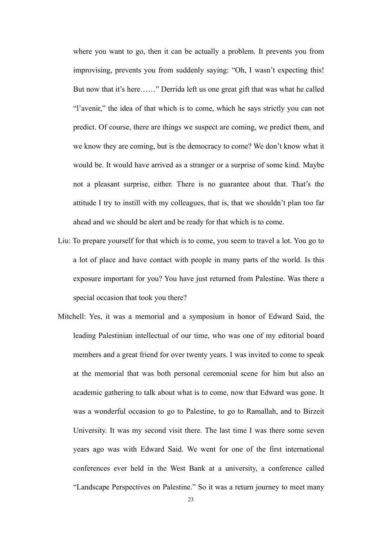where you want to go, then it can be actually a problem. It prevents you from improvising, prevents you from suddenly saying: "Oh, I wasn't expecting this! But now that it's here……" Derrida left us one great gift that was what he called "l'avenir," the idea of that which is to come, which he says strictly you can not predict. Of course, there are things we suspect are coming, we predict them, and we know they are coming, but is the democracy to come? We don't know what it would be. It would have arrived as a stranger or a surprise of some kind. Maybe not a pleasant surprise, either. There is no guarantee about that. That's the attitude I try to instill with my colleagues, that is, that we shouldn't plan too far ahead and we should be alert and be ready for that which is to come.

- Liu: To prepare yourself for that which is to come, you seem to travel a lot. You go to a lot of place and have contact with people in many parts of the world. Is this exposure important for you? You have just returned from Palestine. Was there a special occasion that took you there?
- Mitchell: Yes, it was a memorial and a symposium in honor of Edward Said, the leading Palestinian intellectual of our time, who was one of my editorial board members and a great friend for over twenty years. I was invited to come to speak at the memorial that was both personal ceremonial scene for him but also an academic gathering to talk about what is to come, now that Edward was gone. It was a wonderful occasion to go to Palestine, to go to Ramallah, and to Birzeit University. It was my second visit there. The last time I was there some seven years ago was with Edward Said. We went for one of the first international conferences ever held in the West Bank at a university, a conference called "Landscape Perspectives on Palestine." So it was a return journey to meet many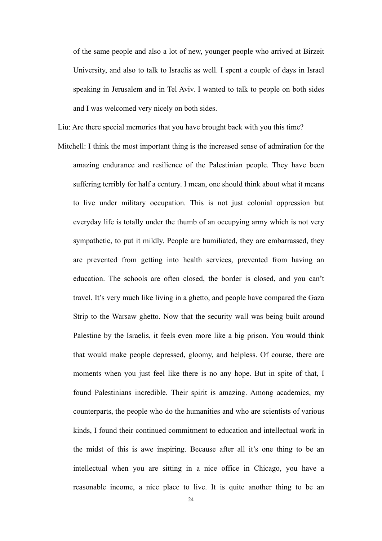of the same people and also a lot of new, younger people who arrived at Birzeit University, and also to talk to Israelis as well. I spent a couple of days in Israel speaking in Jerusalem and in Tel Aviv. I wanted to talk to people on both sides and I was welcomed very nicely on both sides.

Liu: Are there special memories that you have brought back with you this time?

Mitchell: I think the most important thing is the increased sense of admiration for the amazing endurance and resilience of the Palestinian people. They have been suffering terribly for half a century. I mean, one should think about what it means to live under military occupation. This is not just colonial oppression but everyday life is totally under the thumb of an occupying army which is not very sympathetic, to put it mildly. People are humiliated, they are embarrassed, they are prevented from getting into health services, prevented from having an education. The schools are often closed, the border is closed, and you can't travel. It's very much like living in a ghetto, and people have compared the Gaza Strip to the Warsaw ghetto. Now that the security wall was being built around Palestine by the Israelis, it feels even more like a big prison. You would think that would make people depressed, gloomy, and helpless. Of course, there are moments when you just feel like there is no any hope. But in spite of that, I found Palestinians incredible. Their spirit is amazing. Among academics, my counterparts, the people who do the humanities and who are scientists of various kinds, I found their continued commitment to education and intellectual work in the midst of this is awe inspiring. Because after all it's one thing to be an intellectual when you are sitting in a nice office in Chicago, you have a reasonable income, a nice place to live. It is quite another thing to be an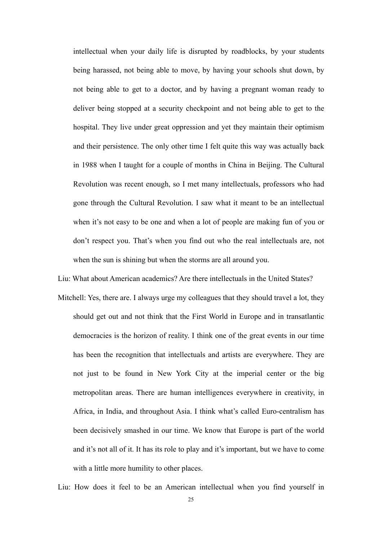intellectual when your daily life is disrupted by roadblocks, by your students being harassed, not being able to move, by having your schools shut down, by not being able to get to a doctor, and by having a pregnant woman ready to deliver being stopped at a security checkpoint and not being able to get to the hospital. They live under great oppression and yet they maintain their optimism and their persistence. The only other time I felt quite this way was actually back in 1988 when I taught for a couple of months in China in Beijing. The Cultural Revolution was recent enough, so I met many intellectuals, professors who had gone through the Cultural Revolution. I saw what it meant to be an intellectual when it's not easy to be one and when a lot of people are making fun of you or don't respect you. That's when you find out who the real intellectuals are, not when the sun is shining but when the storms are all around you.

Mitchell: Yes, there are. I always urge my colleagues that they should travel a lot, they should get out and not think that the First World in Europe and in transatlantic democracies is the horizon of reality. I think one of the great events in our time has been the recognition that intellectuals and artists are everywhere. They are not just to be found in New York City at the imperial center or the big metropolitan areas. There are human intelligences everywhere in creativity, in Africa, in India, and throughout Asia. I think what's called Euro-centralism has been decisively smashed in our time. We know that Europe is part of the world and it's not all of it. It has its role to play and it's important, but we have to come with a little more humility to other places.

Liu: What about American academics? Are there intellectuals in the United States?

Liu: How does it feel to be an American intellectual when you find yourself in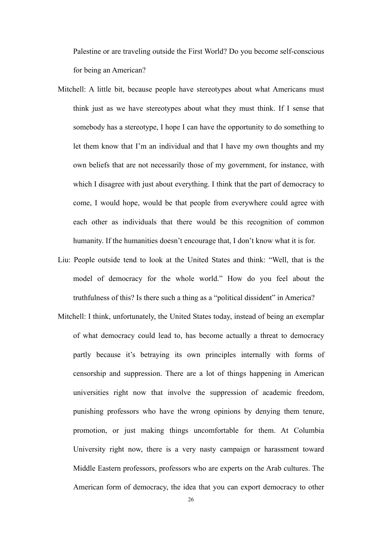Palestine or are traveling outside the First World? Do you become self-conscious for being an American?

- Mitchell: A little bit, because people have stereotypes about what Americans must think just as we have stereotypes about what they must think. If I sense that somebody has a stereotype, I hope I can have the opportunity to do something to let them know that I'm an individual and that I have my own thoughts and my own beliefs that are not necessarily those of my government, for instance, with which I disagree with just about everything. I think that the part of democracy to come, I would hope, would be that people from everywhere could agree with each other as individuals that there would be this recognition of common humanity. If the humanities doesn't encourage that, I don't know what it is for.
- Liu: People outside tend to look at the United States and think: "Well, that is the model of democracy for the whole world." How do you feel about the truthfulness of this? Is there such a thing as a "political dissident" in America?
- Mitchell: I think, unfortunately, the United States today, instead of being an exemplar of what democracy could lead to, has become actually a threat to democracy partly because it's betraying its own principles internally with forms of censorship and suppression. There are a lot of things happening in American universities right now that involve the suppression of academic freedom, punishing professors who have the wrong opinions by denying them tenure, promotion, or just making things uncomfortable for them. At Columbia University right now, there is a very nasty campaign or harassment toward Middle Eastern professors, professors who are experts on the Arab cultures. The American form of democracy, the idea that you can export democracy to other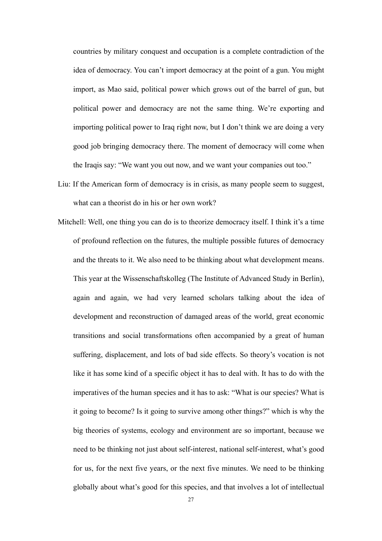countries by military conquest and occupation is a complete contradiction of the idea of democracy. You can't import democracy at the point of a gun. You might import, as Mao said, political power which grows out of the barrel of gun, but political power and democracy are not the same thing. We're exporting and importing political power to Iraq right now, but I don't think we are doing a very good job bringing democracy there. The moment of democracy will come when the Iraqis say: "We want you out now, and we want your companies out too."

- Liu: If the American form of democracy is in crisis, as many people seem to suggest, what can a theorist do in his or her own work?
- Mitchell: Well, one thing you can do is to theorize democracy itself. I think it's a time of profound reflection on the futures, the multiple possible futures of democracy and the threats to it. We also need to be thinking about what development means. This year at the Wissenschaftskolleg (The Institute of Advanced Study in Berlin), again and again, we had very learned scholars talking about the idea of development and reconstruction of damaged areas of the world, great economic transitions and social transformations often accompanied by a great of human suffering, displacement, and lots of bad side effects. So theory's vocation is not like it has some kind of a specific object it has to deal with. It has to do with the imperatives of the human species and it has to ask: "What is our species? What is it going to become? Is it going to survive among other things?" which is why the big theories of systems, ecology and environment are so important, because we need to be thinking not just about self-interest, national self-interest, what's good for us, for the next five years, or the next five minutes. We need to be thinking globally about what's good for this species, and that involves a lot of intellectual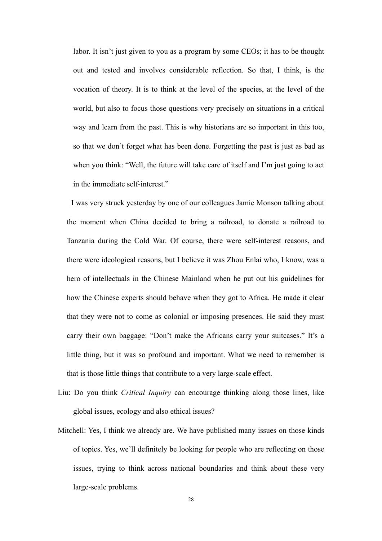labor. It isn't just given to you as a program by some CEOs; it has to be thought out and tested and involves considerable reflection. So that, I think, is the vocation of theory. It is to think at the level of the species, at the level of the world, but also to focus those questions very precisely on situations in a critical way and learn from the past. This is why historians are so important in this too, so that we don't forget what has been done. Forgetting the past is just as bad as when you think: "Well, the future will take care of itself and I'm just going to act in the immediate self-interest."

I was very struck yesterday by one of our colleagues Jamie Monson talking about the moment when China decided to bring a railroad, to donate a railroad to Tanzania during the Cold War. Of course, there were self-interest reasons, and there were ideological reasons, but I believe it was Zhou Enlai who, I know, was a hero of intellectuals in the Chinese Mainland when he put out his guidelines for how the Chinese experts should behave when they got to Africa. He made it clear that they were not to come as colonial or imposing presences. He said they must carry their own baggage: "Don't make the Africans carry your suitcases." It's a little thing, but it was so profound and important. What we need to remember is that is those little things that contribute to a very large-scale effect.

- Liu: Do you think *Critical Inquiry* can encourage thinking along those lines, like global issues, ecology and also ethical issues?
- Mitchell: Yes, I think we already are. We have published many issues on those kinds of topics. Yes, we'll definitely be looking for people who are reflecting on those issues, trying to think across national boundaries and think about these very large-scale problems.